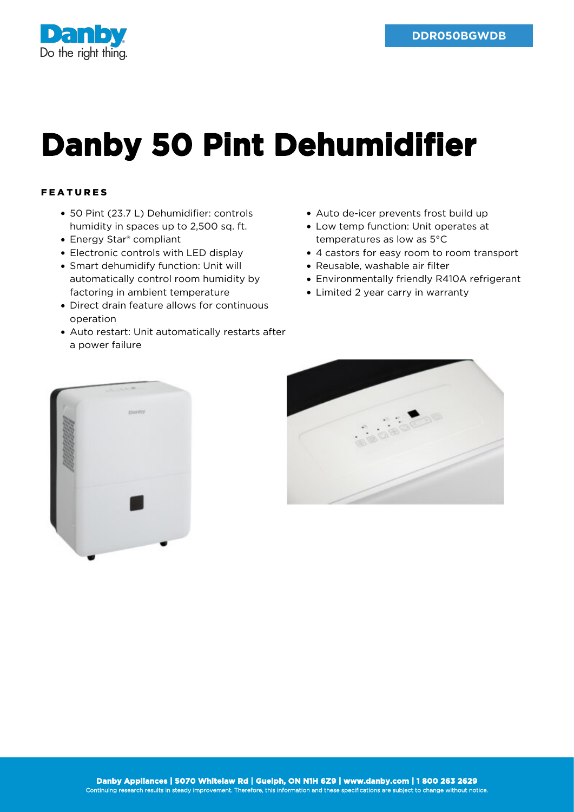

## **Danby 50 Pint Dehumidifier**

## FEATURES

- 50 Pint (23.7 L) Dehumidifier: controls humidity in spaces up to 2,500 sq. ft.
- Energy Star® compliant
- Electronic controls with LED display
- Smart dehumidify function: Unit will automatically control room humidity by factoring in ambient temperature
- Direct drain feature allows for continuous operation
- Auto restart: Unit automatically restarts after a power failure
- Auto de-icer prevents frost build up
- Low temp function: Unit operates at temperatures as low as 5°C
- 4 castors for easy room to room transport
- Reusable, washable air filter
- Environmentally friendly R410A refrigerant
- Limited 2 year carry in warranty